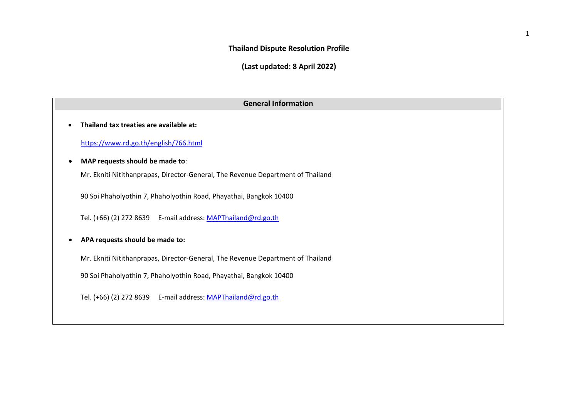## **Thailand Dispute Resolution Profile**

**(Last updated: 8 April 2022)**

| <b>General Information</b>                                                      |  |  |  |  |  |  |
|---------------------------------------------------------------------------------|--|--|--|--|--|--|
| Thailand tax treaties are available at:                                         |  |  |  |  |  |  |
| https://www.rd.go.th/english/766.html                                           |  |  |  |  |  |  |
| MAP requests should be made to:                                                 |  |  |  |  |  |  |
| Mr. Ekniti Nitithanprapas, Director-General, The Revenue Department of Thailand |  |  |  |  |  |  |
| 90 Soi Phaholyothin 7, Phaholyothin Road, Phayathai, Bangkok 10400              |  |  |  |  |  |  |
| Tel. (+66) (2) 272 8639   E-mail address: MAPThailand@rd.go.th                  |  |  |  |  |  |  |
| APA requests should be made to:                                                 |  |  |  |  |  |  |
| Mr. Ekniti Nitithanprapas, Director-General, The Revenue Department of Thailand |  |  |  |  |  |  |
| 90 Soi Phaholyothin 7, Phaholyothin Road, Phayathai, Bangkok 10400              |  |  |  |  |  |  |
| Tel. (+66) (2) 272 8639    E-mail address: MAPThailand@rd.go.th                 |  |  |  |  |  |  |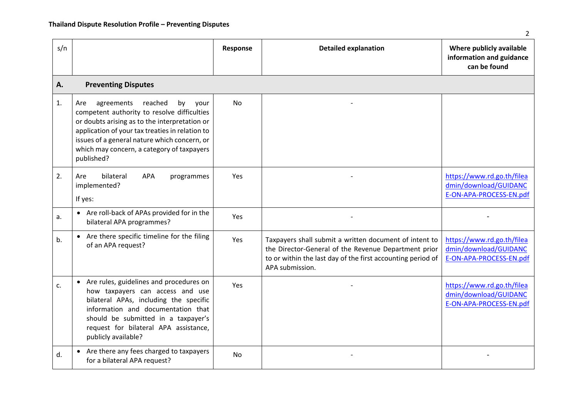| s/n |                                                                                                                                                                                                                                                                                                           | Response  | <b>Detailed explanation</b>                                                                                                                                                                      | Where publicly available<br>information and guidance<br>can be found           |
|-----|-----------------------------------------------------------------------------------------------------------------------------------------------------------------------------------------------------------------------------------------------------------------------------------------------------------|-----------|--------------------------------------------------------------------------------------------------------------------------------------------------------------------------------------------------|--------------------------------------------------------------------------------|
| Α.  | <b>Preventing Disputes</b>                                                                                                                                                                                                                                                                                |           |                                                                                                                                                                                                  |                                                                                |
| 1.  | agreements<br>reached<br>by<br>Are<br>your<br>competent authority to resolve difficulties<br>or doubts arising as to the interpretation or<br>application of your tax treaties in relation to<br>issues of a general nature which concern, or<br>which may concern, a category of taxpayers<br>published? | <b>No</b> |                                                                                                                                                                                                  |                                                                                |
| 2.  | bilateral<br><b>APA</b><br>Are<br>programmes<br>implemented?<br>If yes:                                                                                                                                                                                                                                   | Yes       |                                                                                                                                                                                                  | https://www.rd.go.th/filea<br>dmin/download/GUIDANC<br>E-ON-APA-PROCESS-EN.pdf |
| a.  | • Are roll-back of APAs provided for in the<br>bilateral APA programmes?                                                                                                                                                                                                                                  | Yes       |                                                                                                                                                                                                  |                                                                                |
| b.  | • Are there specific timeline for the filing<br>of an APA request?                                                                                                                                                                                                                                        | Yes       | Taxpayers shall submit a written document of intent to<br>the Director-General of the Revenue Department prior<br>to or within the last day of the first accounting period of<br>APA submission. | https://www.rd.go.th/filea<br>dmin/download/GUIDANC<br>E-ON-APA-PROCESS-EN.pdf |
| c.  | • Are rules, guidelines and procedures on<br>how taxpayers can access and use<br>bilateral APAs, including the specific<br>information and documentation that<br>should be submitted in a taxpayer's<br>request for bilateral APA assistance,<br>publicly available?                                      | Yes       |                                                                                                                                                                                                  | https://www.rd.go.th/filea<br>dmin/download/GUIDANC<br>E-ON-APA-PROCESS-EN.pdf |
| d.  | Are there any fees charged to taxpayers<br>$\bullet$<br>for a bilateral APA request?                                                                                                                                                                                                                      | <b>No</b> |                                                                                                                                                                                                  |                                                                                |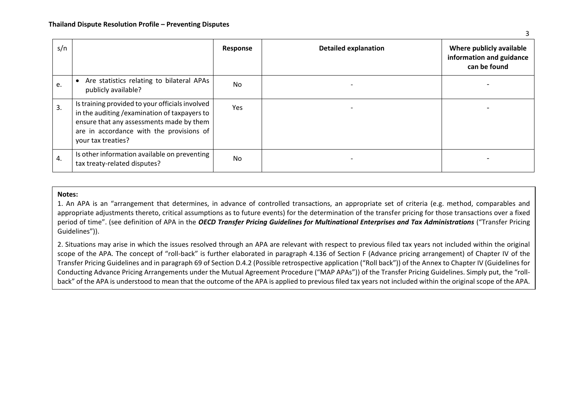| s/n |                                                                                                                                                                                                                | Response  | <b>Detailed explanation</b> | Where publicly available<br>information and guidance<br>can be found |
|-----|----------------------------------------------------------------------------------------------------------------------------------------------------------------------------------------------------------------|-----------|-----------------------------|----------------------------------------------------------------------|
| e.  | • Are statistics relating to bilateral APAs<br>publicly available?                                                                                                                                             | No        |                             |                                                                      |
| 3.  | Is training provided to your officials involved<br>in the auditing / examination of taxpayers to<br>ensure that any assessments made by them<br>are in accordance with the provisions of<br>your tax treaties? | Yes       |                             |                                                                      |
| 4.  | Is other information available on preventing<br>tax treaty-related disputes?                                                                                                                                   | <b>No</b> |                             |                                                                      |

## **Notes:**

1. An APA is an "arrangement that determines, in advance of controlled transactions, an appropriate set of criteria (e.g. method, comparables and appropriate adjustments thereto, critical assumptions as to future events) for the determination of the transfer pricing for those transactions over a fixed period of time". (see definition of APA in the *OECD Transfer Pricing Guidelines for Multinational Enterprises and Tax Administrations* ("Transfer Pricing Guidelines")).

2. Situations may arise in which the issues resolved through an APA are relevant with respect to previous filed tax years not included within the original scope of the APA. The concept of "roll-back" is further elaborated in paragraph 4.136 of Section F (Advance pricing arrangement) of Chapter IV of the Transfer Pricing Guidelines and in paragraph 69 of Section D.4.2 (Possible retrospective application ("Roll back")) of the Annex to Chapter IV (Guidelines for Conducting Advance Pricing Arrangements under the Mutual Agreement Procedure ("MAP APAs")) of the Transfer Pricing Guidelines. Simply put, the "rollback" of the APA is understood to mean that the outcome of the APA is applied to previous filed tax years not included within the original scope of the APA.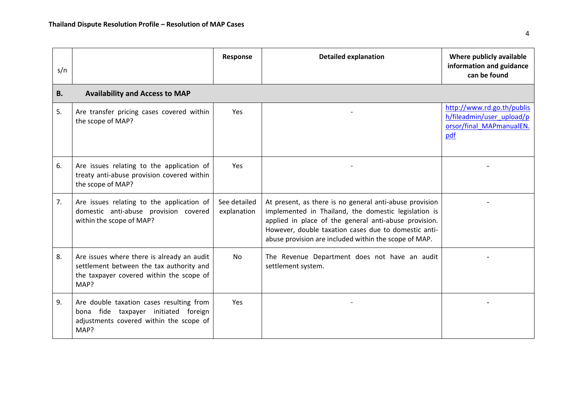| s/n       |                                                                                                                                            | Response                    | <b>Detailed explanation</b>                                                                                                                                                                                                                                                               | Where publicly available<br>information and guidance<br>can be found                       |
|-----------|--------------------------------------------------------------------------------------------------------------------------------------------|-----------------------------|-------------------------------------------------------------------------------------------------------------------------------------------------------------------------------------------------------------------------------------------------------------------------------------------|--------------------------------------------------------------------------------------------|
| <b>B.</b> | <b>Availability and Access to MAP</b>                                                                                                      |                             |                                                                                                                                                                                                                                                                                           |                                                                                            |
| 5.        | Are transfer pricing cases covered within<br>the scope of MAP?                                                                             | Yes                         |                                                                                                                                                                                                                                                                                           | http://www.rd.go.th/publis<br>h/fileadmin/user_upload/p<br>orsor/final MAPmanualEN.<br>pdf |
| 6.        | Are issues relating to the application of<br>treaty anti-abuse provision covered within<br>the scope of MAP?                               | Yes                         |                                                                                                                                                                                                                                                                                           |                                                                                            |
| 7.        | Are issues relating to the application of<br>domestic anti-abuse provision covered<br>within the scope of MAP?                             | See detailed<br>explanation | At present, as there is no general anti-abuse provision<br>implemented in Thailand, the domestic legislation is<br>applied in place of the general anti-abuse provision.<br>However, double taxation cases due to domestic anti-<br>abuse provision are included within the scope of MAP. |                                                                                            |
| 8.        | Are issues where there is already an audit<br>settlement between the tax authority and<br>the taxpayer covered within the scope of<br>MAP? | No                          | The Revenue Department does not have an audit<br>settlement system.                                                                                                                                                                                                                       |                                                                                            |
| 9.        | Are double taxation cases resulting from<br>bona fide taxpayer initiated foreign<br>adjustments covered within the scope of<br>MAP?        | Yes                         |                                                                                                                                                                                                                                                                                           |                                                                                            |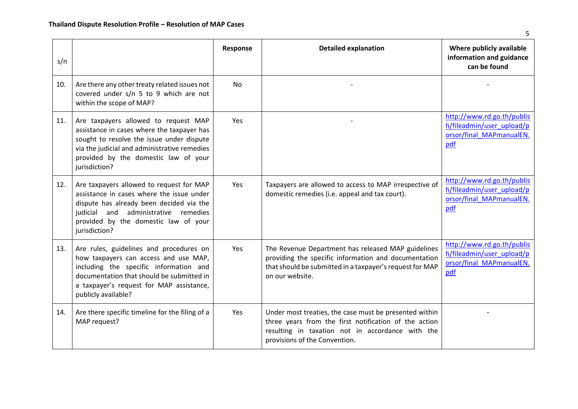| s/n |                                                                                                                                                                                                                                            | Response   | <b>Detailed explanation</b>                                                                                                                                                                          | Where publicly available<br>information and guidance<br>can be found                       |
|-----|--------------------------------------------------------------------------------------------------------------------------------------------------------------------------------------------------------------------------------------------|------------|------------------------------------------------------------------------------------------------------------------------------------------------------------------------------------------------------|--------------------------------------------------------------------------------------------|
| 10. | Are there any other treaty related issues not<br>covered under s/n 5 to 9 which are not<br>within the scope of MAP?                                                                                                                        | <b>No</b>  |                                                                                                                                                                                                      |                                                                                            |
| 11. | Are taxpayers allowed to request MAP<br>assistance in cases where the taxpayer has<br>sought to resolve the issue under dispute<br>via the judicial and administrative remedies<br>provided by the domestic law of your<br>jurisdiction?   | <b>Yes</b> |                                                                                                                                                                                                      | http://www.rd.go.th/publis<br>h/fileadmin/user_upload/p<br>orsor/final MAPmanualEN.<br>pdf |
| 12. | Are taxpayers allowed to request for MAP<br>assistance in cases where the issue under<br>dispute has already been decided via the<br>judicial and administrative remedies<br>provided by the domestic law of your<br>jurisdiction?         | Yes        | Taxpayers are allowed to access to MAP irrespective of<br>domestic remedies (i.e. appeal and tax court).                                                                                             | http://www.rd.go.th/publis<br>h/fileadmin/user_upload/p<br>orsor/final MAPmanualEN.<br>pdf |
| 13. | Are rules, guidelines and procedures on<br>how taxpayers can access and use MAP,<br>including the specific information and<br>documentation that should be submitted in<br>a taxpayer's request for MAP assistance,<br>publicly available? | Yes        | The Revenue Department has released MAP guidelines<br>providing the specific information and documentation<br>that should be submitted in a taxpayer's request for MAP<br>on our website.            | http://www.rd.go.th/publis<br>h/fileadmin/user_upload/p<br>orsor/final_MAPmanualEN.<br>pdf |
| 14. | Are there specific timeline for the filing of a<br>MAP request?                                                                                                                                                                            | Yes        | Under most treaties, the case must be presented within<br>three years from the first notification of the action<br>resulting in taxation not in accordance with the<br>provisions of the Convention. |                                                                                            |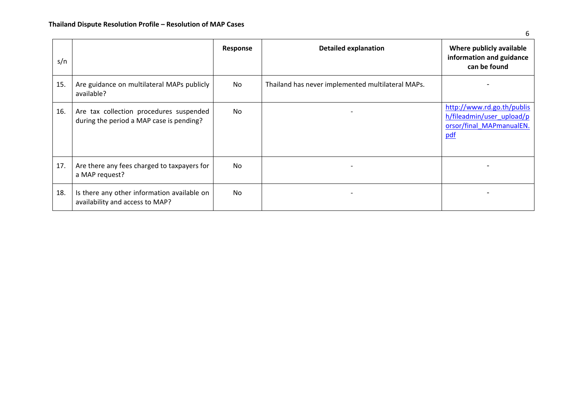| s/n |                                                                                     | Response  | <b>Detailed explanation</b>                       | Where publicly available<br>information and guidance<br>can be found                       |
|-----|-------------------------------------------------------------------------------------|-----------|---------------------------------------------------|--------------------------------------------------------------------------------------------|
| 15. | Are guidance on multilateral MAPs publicly<br>available?                            | No        | Thailand has never implemented multilateral MAPs. |                                                                                            |
| 16. | Are tax collection procedures suspended<br>during the period a MAP case is pending? | No.       | $\overline{\phantom{a}}$                          | http://www.rd.go.th/publis<br>h/fileadmin/user_upload/p<br>orsor/final MAPmanualEN.<br>pdf |
| 17. | Are there any fees charged to taxpayers for<br>a MAP request?                       | <b>No</b> |                                                   |                                                                                            |
| 18. | Is there any other information available on<br>availability and access to MAP?      | No.       | $\overline{\phantom{a}}$                          |                                                                                            |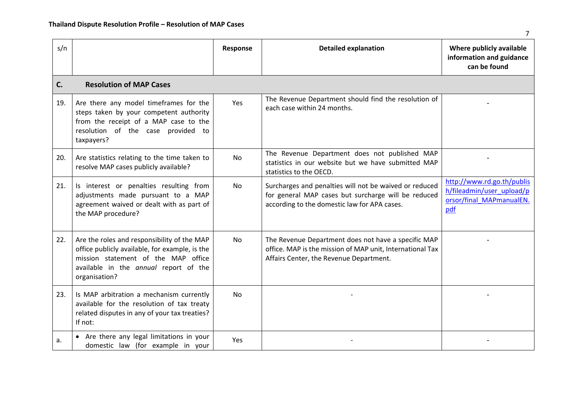| s/n |                                                                                                                                                                                                | Response  | <b>Detailed explanation</b>                                                                                                                                   | Where publicly available<br>information and guidance<br>can be found                       |
|-----|------------------------------------------------------------------------------------------------------------------------------------------------------------------------------------------------|-----------|---------------------------------------------------------------------------------------------------------------------------------------------------------------|--------------------------------------------------------------------------------------------|
| C.  | <b>Resolution of MAP Cases</b>                                                                                                                                                                 |           |                                                                                                                                                               |                                                                                            |
| 19. | Are there any model timeframes for the<br>steps taken by your competent authority<br>from the receipt of a MAP case to the<br>resolution of the case provided to<br>taxpayers?                 | Yes       | The Revenue Department should find the resolution of<br>each case within 24 months.                                                                           |                                                                                            |
| 20. | Are statistics relating to the time taken to<br>resolve MAP cases publicly available?                                                                                                          | No        | The Revenue Department does not published MAP<br>statistics in our website but we have submitted MAP<br>statistics to the OECD.                               |                                                                                            |
| 21. | Is interest or penalties resulting from<br>adjustments made pursuant to a MAP<br>agreement waived or dealt with as part of<br>the MAP procedure?                                               | <b>No</b> | Surcharges and penalties will not be waived or reduced<br>for general MAP cases but surcharge will be reduced<br>according to the domestic law for APA cases. | http://www.rd.go.th/publis<br>h/fileadmin/user_upload/p<br>orsor/final MAPmanualEN.<br>pdf |
| 22. | Are the roles and responsibility of the MAP<br>office publicly available, for example, is the<br>mission statement of the MAP office<br>available in the annual report of the<br>organisation? | No        | The Revenue Department does not have a specific MAP<br>office. MAP is the mission of MAP unit, International Tax<br>Affairs Center, the Revenue Department.   |                                                                                            |
| 23. | Is MAP arbitration a mechanism currently<br>available for the resolution of tax treaty<br>related disputes in any of your tax treaties?<br>If not:                                             | <b>No</b> |                                                                                                                                                               |                                                                                            |
| a.  | Are there any legal limitations in your<br>domestic law (for example in your                                                                                                                   | Yes       |                                                                                                                                                               |                                                                                            |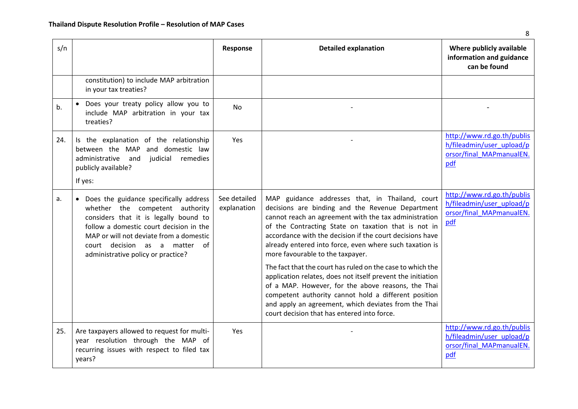| s/n |                                                                                                                                                                                                                                                                                   | Response                    | <b>Detailed explanation</b>                                                                                                                                                                                                                                                                                                                                                                                                                                                                                                                                                                                                                                                                                                      | Where publicly available<br>information and guidance<br>can be found                       |
|-----|-----------------------------------------------------------------------------------------------------------------------------------------------------------------------------------------------------------------------------------------------------------------------------------|-----------------------------|----------------------------------------------------------------------------------------------------------------------------------------------------------------------------------------------------------------------------------------------------------------------------------------------------------------------------------------------------------------------------------------------------------------------------------------------------------------------------------------------------------------------------------------------------------------------------------------------------------------------------------------------------------------------------------------------------------------------------------|--------------------------------------------------------------------------------------------|
|     | constitution) to include MAP arbitration<br>in your tax treaties?                                                                                                                                                                                                                 |                             |                                                                                                                                                                                                                                                                                                                                                                                                                                                                                                                                                                                                                                                                                                                                  |                                                                                            |
| b.  | • Does your treaty policy allow you to<br>include MAP arbitration in your tax<br>treaties?                                                                                                                                                                                        | <b>No</b>                   |                                                                                                                                                                                                                                                                                                                                                                                                                                                                                                                                                                                                                                                                                                                                  |                                                                                            |
| 24. | Is the explanation of the relationship<br>and domestic law<br>between the MAP<br>administrative<br>and<br>judicial<br>remedies<br>publicly available?<br>If yes:                                                                                                                  | Yes                         |                                                                                                                                                                                                                                                                                                                                                                                                                                                                                                                                                                                                                                                                                                                                  | http://www.rd.go.th/publis<br>h/fileadmin/user_upload/p<br>orsor/final MAPmanualEN.<br>pdf |
| a.  | • Does the guidance specifically address<br>whether the competent authority<br>considers that it is legally bound to<br>follow a domestic court decision in the<br>MAP or will not deviate from a domestic<br>court decision as a matter of<br>administrative policy or practice? | See detailed<br>explanation | MAP guidance addresses that, in Thailand, court<br>decisions are binding and the Revenue Department<br>cannot reach an agreement with the tax administration<br>of the Contracting State on taxation that is not in<br>accordance with the decision if the court decisions have<br>already entered into force, even where such taxation is<br>more favourable to the taxpayer.<br>The fact that the court has ruled on the case to which the<br>application relates, does not itself prevent the initiation<br>of a MAP. However, for the above reasons, the Thai<br>competent authority cannot hold a different position<br>and apply an agreement, which deviates from the Thai<br>court decision that has entered into force. | http://www.rd.go.th/publis<br>h/fileadmin/user_upload/p<br>orsor/final MAPmanualEN.<br>pdf |
| 25. | Are taxpayers allowed to request for multi-<br>year resolution through the MAP of<br>recurring issues with respect to filed tax<br>years?                                                                                                                                         | <b>Yes</b>                  |                                                                                                                                                                                                                                                                                                                                                                                                                                                                                                                                                                                                                                                                                                                                  | http://www.rd.go.th/publis<br>h/fileadmin/user_upload/p<br>orsor/final MAPmanualEN.<br>pdf |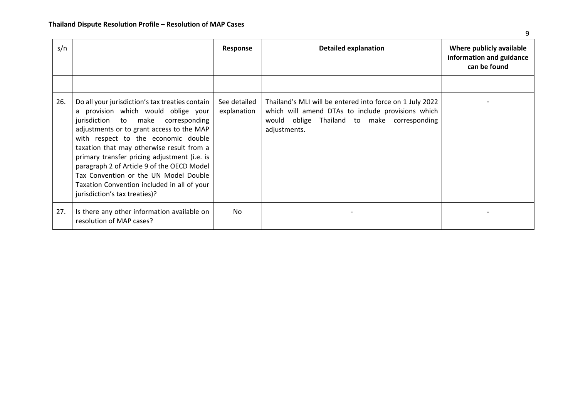| s/n |                                                                                                                                                                                                                                                                                                                                                                                                                                                                                      | Response                    | <b>Detailed explanation</b>                                                                                                                                                  | Where publicly available<br>information and guidance<br>can be found |
|-----|--------------------------------------------------------------------------------------------------------------------------------------------------------------------------------------------------------------------------------------------------------------------------------------------------------------------------------------------------------------------------------------------------------------------------------------------------------------------------------------|-----------------------------|------------------------------------------------------------------------------------------------------------------------------------------------------------------------------|----------------------------------------------------------------------|
|     |                                                                                                                                                                                                                                                                                                                                                                                                                                                                                      |                             |                                                                                                                                                                              |                                                                      |
| 26. | Do all your jurisdiction's tax treaties contain<br>a provision which would oblige your<br>jurisdiction to make corresponding<br>adjustments or to grant access to the MAP<br>with respect to the economic double<br>taxation that may otherwise result from a<br>primary transfer pricing adjustment (i.e. is<br>paragraph 2 of Article 9 of the OECD Model<br>Tax Convention or the UN Model Double<br>Taxation Convention included in all of your<br>jurisdiction's tax treaties)? | See detailed<br>explanation | Thailand's MLI will be entered into force on 1 July 2022<br>which will amend DTAs to include provisions which<br>would oblige Thailand to make corresponding<br>adjustments. |                                                                      |
| 27. | Is there any other information available on<br>resolution of MAP cases?                                                                                                                                                                                                                                                                                                                                                                                                              | <b>No</b>                   |                                                                                                                                                                              |                                                                      |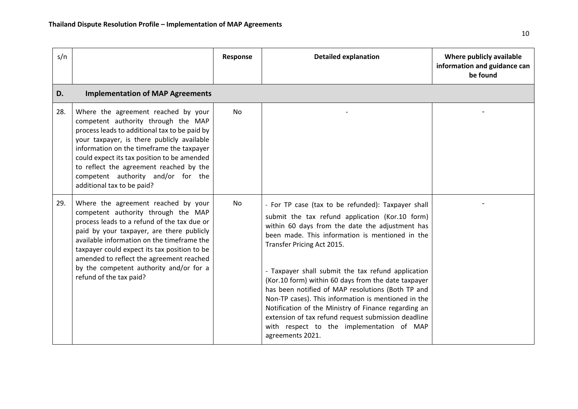| s/n |                                                                                                                                                                                                                                                                                                                                                                                        | Response | <b>Detailed explanation</b>                                                                                                                                                                                                                                                                                                                                                                                                                                                                                                                                                                                                                        | Where publicly available<br>information and guidance can<br>be found |
|-----|----------------------------------------------------------------------------------------------------------------------------------------------------------------------------------------------------------------------------------------------------------------------------------------------------------------------------------------------------------------------------------------|----------|----------------------------------------------------------------------------------------------------------------------------------------------------------------------------------------------------------------------------------------------------------------------------------------------------------------------------------------------------------------------------------------------------------------------------------------------------------------------------------------------------------------------------------------------------------------------------------------------------------------------------------------------------|----------------------------------------------------------------------|
| D.  | <b>Implementation of MAP Agreements</b>                                                                                                                                                                                                                                                                                                                                                |          |                                                                                                                                                                                                                                                                                                                                                                                                                                                                                                                                                                                                                                                    |                                                                      |
| 28. | Where the agreement reached by your<br>competent authority through the MAP<br>process leads to additional tax to be paid by<br>your taxpayer, is there publicly available<br>information on the timeframe the taxpayer<br>could expect its tax position to be amended<br>to reflect the agreement reached by the<br>competent authority and/or for the<br>additional tax to be paid?   | No       |                                                                                                                                                                                                                                                                                                                                                                                                                                                                                                                                                                                                                                                    |                                                                      |
| 29. | Where the agreement reached by your<br>competent authority through the MAP<br>process leads to a refund of the tax due or<br>paid by your taxpayer, are there publicly<br>available information on the timeframe the<br>taxpayer could expect its tax position to be<br>amended to reflect the agreement reached<br>by the competent authority and/or for a<br>refund of the tax paid? | No       | - For TP case (tax to be refunded): Taxpayer shall<br>submit the tax refund application (Kor.10 form)<br>within 60 days from the date the adjustment has<br>been made. This information is mentioned in the<br>Transfer Pricing Act 2015.<br>- Taxpayer shall submit the tax refund application<br>(Kor.10 form) within 60 days from the date taxpayer<br>has been notified of MAP resolutions (Both TP and<br>Non-TP cases). This information is mentioned in the<br>Notification of the Ministry of Finance regarding an<br>extension of tax refund request submission deadline<br>with respect to the implementation of MAP<br>agreements 2021. |                                                                      |